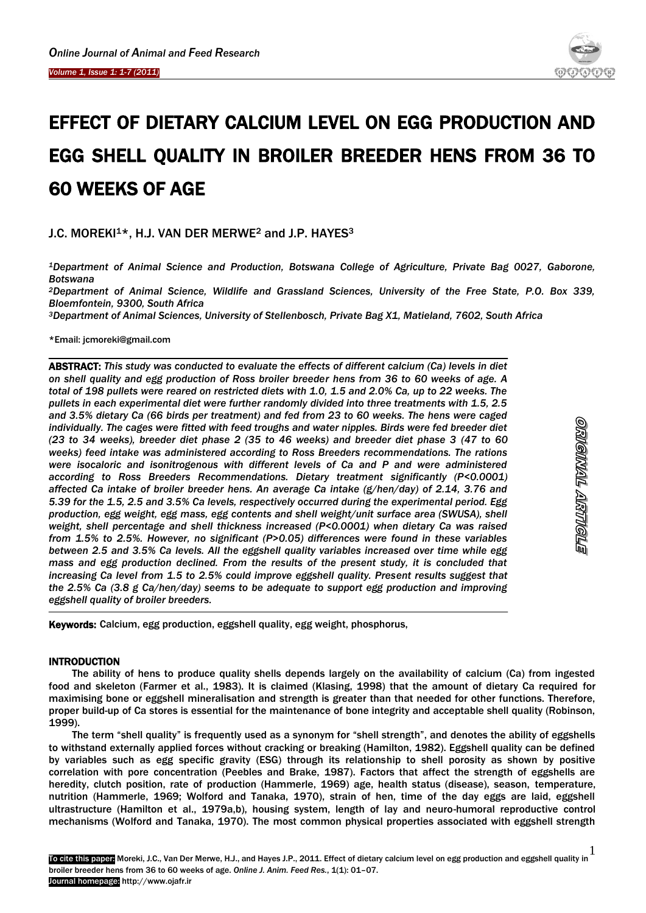

# EFFECT OF DIETARY CALCIUM LEVEL ON EGG PRODUCTION AND EGG SHELL QUALITY IN BROILER BREEDER HENS FROM 36 TO 60 WEEKS OF AGE

## J.C. MOREKI<sup>1\*</sup>, H.J. VAN DER MERWE<sup>2</sup> and J.P. HAYES<sup>3</sup>

*<sup>1</sup>Department of Animal Science and Production, Botswana College of Agriculture, Private Bag 0027, Gaborone, Botswana*

*<sup>2</sup>Department of Animal Science, Wildlife and Grassland Sciences, University of the Free State, P.O. Box 339, Bloemfontein, 9300, South Africa*

*<sup>3</sup>Department of Animal Sciences, University of Stellenbosch, Private Bag X1, Matieland, 7602, South Africa*

\*Email: jcmoreki@gmail.com

ABSTRACT: *This study was conducted to evaluate the effects of different calcium (Ca) levels in diet on shell quality and egg production of Ross broiler breeder hens from 36 to 60 weeks of age. A total of 198 pullets were reared on restricted diets with 1.0, 1.5 and 2.0% Ca, up to 22 weeks. The pullets in each experimental diet were further randomly divided into three treatments with 1.5, 2.5 and 3.5% dietary Ca (66 birds per treatment) and fed from 23 to 60 weeks. The hens were caged individually. The cages were fitted with feed troughs and water nipples. Birds were fed breeder diet (23 to 34 weeks), breeder diet phase 2 (35 to 46 weeks) and breeder diet phase 3 (47 to 60 weeks) feed intake was administered according to Ross Breeders recommendations. The rations were isocaloric and isonitrogenous with different levels of Ca and P and were administered according to Ross Breeders Recommendations. Dietary treatment significantly (P<0.0001) affected Ca intake of broiler breeder hens. An average Ca intake (g/hen/day) of 2.14, 3.76 and 5.39 for the 1.5, 2.5 and 3.5% Ca levels, respectively occurred during the experimental period. Egg production, egg weight, egg mass, egg contents and shell weight/unit surface area (SWUSA), shell weight, shell percentage and shell thickness increased (P<0.0001) when dietary Ca was raised from 1.5% to 2.5%. However, no significant (P>0.05) differences were found in these variables between 2.5 and 3.5% Ca levels. All the eggshell quality variables increased over time while egg mass and egg production declined. From the results of the present study, it is concluded that increasing Ca level from 1.5 to 2.5% could improve eggshell quality. Present results suggest that the 2.5% Ca (3.8 g Ca/hen/day) seems to be adequate to support egg production and improving eggshell quality of broiler breeders.*

Keywords: Calcium, egg production, eggshell quality, egg weight, phosphorus,

## **INTRODUCTION**

-

The ability of hens to produce quality shells depends largely on the availability of calcium (Ca) from ingested food and skeleton (Farmer et al., 1983). It is claimed (Klasing, 1998) that the amount of dietary Ca required for maximising bone or eggshell mineralisation and strength is greater than that needed for other functions. Therefore, proper build-up of Ca stores is essential for the maintenance of bone integrity and acceptable shell quality (Robinson, 1999).

The term "shell quality" is frequently used as a synonym for "shell strength", and denotes the ability of eggshells to withstand externally applied forces without cracking or breaking (Hamilton, 1982). Eggshell quality can be defined by variables such as egg specific gravity (ESG) through its relationship to shell porosity as shown by positive correlation with pore concentration (Peebles and Brake, 1987). Factors that affect the strength of eggshells are heredity, clutch position, rate of production (Hammerle, 1969) age, health status (disease), season, temperature, nutrition (Hammerle, 1969; Wolford and Tanaka, 1970), strain of hen, time of the day eggs are laid, eggshell ultrastructure (Hamilton et al., 1979a,b), housing system, length of lay and neuro-humoral reproductive control mechanisms (Wolford and Tanaka, 1970). The most common physical properties associated with eggshell strength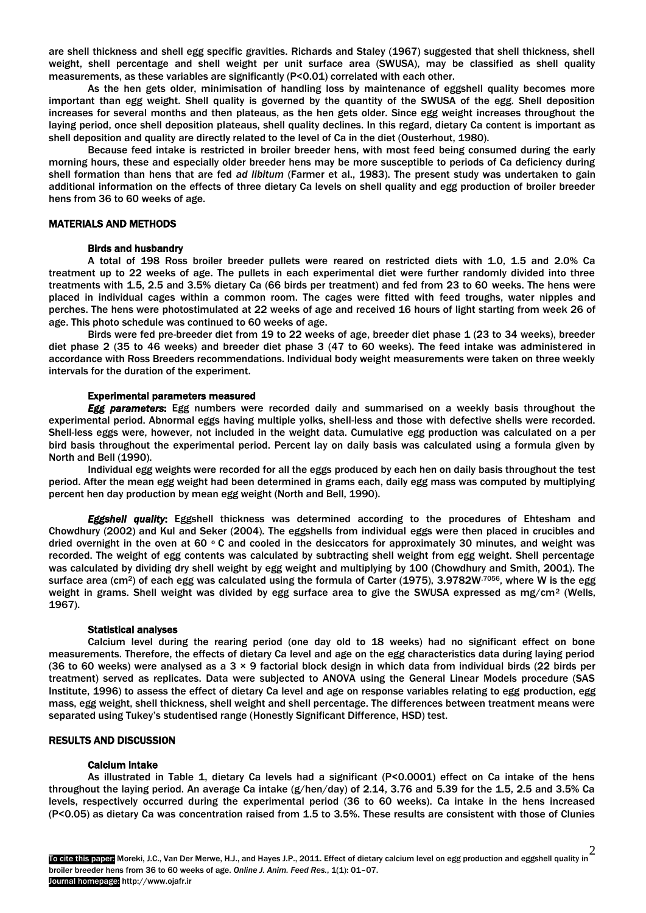are shell thickness and shell egg specific gravities. Richards and Staley (1967) suggested that shell thickness, shell weight, shell percentage and shell weight per unit surface area (SWUSA), may be classified as shell quality measurements, as these variables are significantly (P<0.01) correlated with each other.

As the hen gets older, minimisation of handling loss by maintenance of eggshell quality becomes more important than egg weight. Shell quality is governed by the quantity of the SWUSA of the egg. Shell deposition increases for several months and then plateaus, as the hen gets older. Since egg weight increases throughout the laying period, once shell deposition plateaus, shell quality declines. In this regard, dietary Ca content is important as shell deposition and quality are directly related to the level of Ca in the diet (Ousterhout, 1980).

Because feed intake is restricted in broiler breeder hens, with most feed being consumed during the early morning hours, these and especially older breeder hens may be more susceptible to periods of Ca deficiency during shell formation than hens that are fed *ad libitum* (Farmer et al., 1983). The present study was undertaken to gain additional information on the effects of three dietary Ca levels on shell quality and egg production of broiler breeder hens from 36 to 60 weeks of age.

## MATERIALS AND METHODS

### Birds and husbandry

 A total of 198 Ross broiler breeder pullets were reared on restricted diets with 1.0, 1.5 and 2.0% Ca treatment up to 22 weeks of age. The pullets in each experimental diet were further randomly divided into three treatments with 1.5, 2.5 and 3.5% dietary Ca (66 birds per treatment) and fed from 23 to 60 weeks. The hens were placed in individual cages within a common room. The cages were fitted with feed troughs, water nipples and perches. The hens were photostimulated at 22 weeks of age and received 16 hours of light starting from week 26 of age. This photo schedule was continued to 60 weeks of age.

 Birds were fed pre-breeder diet from 19 to 22 weeks of age, breeder diet phase 1 (23 to 34 weeks), breeder diet phase 2 (35 to 46 weeks) and breeder diet phase 3 (47 to 60 weeks). The feed intake was administered in accordance with Ross Breeders recommendations. Individual body weight measurements were taken on three weekly intervals for the duration of the experiment.

## Experimental parameters measured

 *Egg parameters*: Egg numbers were recorded daily and summarised on a weekly basis throughout the experimental period. Abnormal eggs having multiple yolks, shell-less and those with defective shells were recorded. Shell-less eggs were, however, not included in the weight data. Cumulative egg production was calculated on a per bird basis throughout the experimental period. Percent lay on daily basis was calculated using a formula given by North and Bell (1990).

Individual egg weights were recorded for all the eggs produced by each hen on daily basis throughout the test period. After the mean egg weight had been determined in grams each, daily egg mass was computed by multiplying percent hen day production by mean egg weight (North and Bell, 1990).

*Eggshell quality*: Eggshell thickness was determined according to the procedures of Ehtesham and Chowdhury (2002) and Kul and Seker (2004). The eggshells from individual eggs were then placed in crucibles and dried overnight in the oven at 60  $\circ$  C and cooled in the desiccators for approximately 30 minutes, and weight was recorded. The weight of egg contents was calculated by subtracting shell weight from egg weight. Shell percentage was calculated by dividing dry shell weight by egg weight and multiplying by 100 (Chowdhury and Smith, 2001). The surface area (cm<sup>2</sup>) of each egg was calculated using the formula of Carter (1975), 3.9782W<sup>7056</sup>, where W is the egg weight in grams. Shell weight was divided by egg surface area to give the SWUSA expressed as mg/cm<sup>2</sup> (Wells, 1967).

## Statistical analyses

Calcium level during the rearing period (one day old to 18 weeks) had no significant effect on bone measurements. Therefore, the effects of dietary Ca level and age on the egg characteristics data during laying period (36 to 60 weeks) were analysed as a  $3 \times 9$  factorial block design in which data from individual birds (22 birds per treatment) served as replicates. Data were subjected to ANOVA using the General Linear Models procedure (SAS Institute, 1996) to assess the effect of dietary Ca level and age on response variables relating to egg production, egg mass, egg weight, shell thickness, shell weight and shell percentage. The differences between treatment means were separated using Tukey's studentised range (Honestly Significant Difference, HSD) test.

## RESULTS AND DISCUSSION

## Calcium intake

 As illustrated in Table 1, dietary Ca levels had a significant (P<0.0001) effect on Ca intake of the hens throughout the laying period. An average Ca intake (g/hen/day) of 2.14, 3.76 and 5.39 for the 1.5, 2.5 and 3.5% Ca levels, respectively occurred during the experimental period (36 to 60 weeks). Ca intake in the hens increased (P<0.05) as dietary Ca was concentration raised from 1.5 to 3.5%. These results are consistent with those of Clunies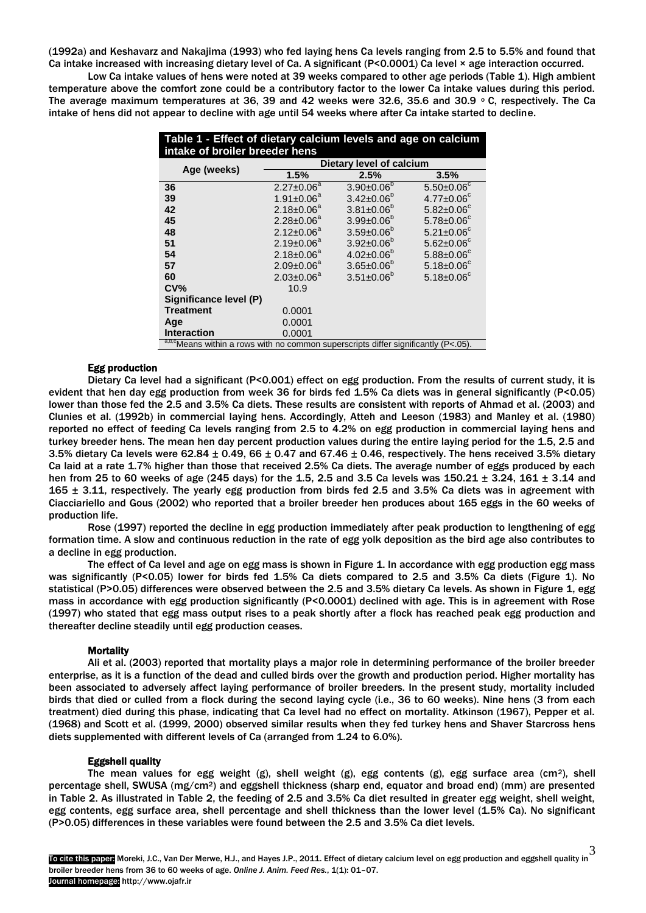(1992a) and Keshavarz and Nakajima (1993) who fed laying hens Ca levels ranging from 2.5 to 5.5% and found that Ca intake increased with increasing dietary level of Ca. A significant (P<0.0001) Ca level × age interaction occurred.

 Low Ca intake values of hens were noted at 39 weeks compared to other age periods (Table 1). High ambient temperature above the comfort zone could be a contributory factor to the lower Ca intake values during this period. The average maximum temperatures at 36, 39 and 42 weeks were 32.6, 35.6 and 30.9  $\degree$  C, respectively. The Ca intake of hens did not appear to decline with age until 54 weeks where after Ca intake started to decline.

| Table 1 - Effect of dietary calcium levels and age on calcium<br>intake of broiler breeder hens |                          |                         |                   |  |  |  |  |  |  |
|-------------------------------------------------------------------------------------------------|--------------------------|-------------------------|-------------------|--|--|--|--|--|--|
|                                                                                                 | Dietary level of calcium |                         |                   |  |  |  |  |  |  |
| Age (weeks)                                                                                     | 1.5%                     | 2.5%                    | 3.5%              |  |  |  |  |  |  |
| 36                                                                                              | $2.27 \pm 0.06^a$        | $3.90 \pm 0.06^{\circ}$ | $5.50 \pm 0.06^c$ |  |  |  |  |  |  |
| 39                                                                                              | $1.91 \pm 0.06^a$        | $3.42 \pm 0.06^b$       | $4.77 \pm 0.06^c$ |  |  |  |  |  |  |
| 42                                                                                              | $2.18 \pm 0.06^a$        | $3.81 \pm 0.06^b$       | $5.82 \pm 0.06^c$ |  |  |  |  |  |  |
| 45                                                                                              | $2.28 \pm 0.06^a$        | $3.99 \pm 0.06^{\circ}$ | $5.78 \pm 0.06^c$ |  |  |  |  |  |  |
| 48                                                                                              | $2.12 \pm 0.06^a$        | $3.59 \pm 0.06^b$       | $5.21 \pm 0.06^c$ |  |  |  |  |  |  |
| 51                                                                                              | $2.19 \pm 0.06^a$        | $3.92 \pm 0.06^b$       | $5.62 \pm 0.06^c$ |  |  |  |  |  |  |
| 54                                                                                              | $2.18 \pm 0.06^a$        | $4.02 \pm 0.06^b$       | $5.88 \pm 0.06^c$ |  |  |  |  |  |  |
| 57                                                                                              | $2.09 \pm 0.06^a$        | $3.65 \pm 0.06^b$       | $5.18 \pm 0.06^c$ |  |  |  |  |  |  |
| 60                                                                                              | $2.03 \pm 0.06^a$        | $3.51 \pm 0.06^{\circ}$ | $5.18 \pm 0.06^c$ |  |  |  |  |  |  |
| CV <sub>6</sub>                                                                                 | 10.9                     |                         |                   |  |  |  |  |  |  |
| Significance level (P)                                                                          |                          |                         |                   |  |  |  |  |  |  |
| <b>Treatment</b>                                                                                | 0.0001                   |                         |                   |  |  |  |  |  |  |
| Age                                                                                             | 0.0001                   |                         |                   |  |  |  |  |  |  |
| <b>Interaction</b>                                                                              | 0.0001                   |                         |                   |  |  |  |  |  |  |
| a,b,cMeans within a rows with no common superscripts differ significantly (P<.05).              |                          |                         |                   |  |  |  |  |  |  |

## Egg production

 Dietary Ca level had a significant (P<0.001) effect on egg production. From the results of current study, it is evident that hen day egg production from week 36 for birds fed 1.5% Ca diets was in general significantly (P<0.05) lower than those fed the 2.5 and 3.5% Ca diets. These results are consistent with reports of Ahmad et al. (2003) and Clunies et al. (1992b) in commercial laying hens. Accordingly, Atteh and Leeson (1983) and Manley et al. (1980) reported no effect of feeding Ca levels ranging from 2.5 to 4.2% on egg production in commercial laying hens and turkey breeder hens. The mean hen day percent production values during the entire laying period for the 1.5, 2.5 and 3.5% dietary Ca levels were 62.84  $\pm$  0.49, 66  $\pm$  0.47 and 67.46  $\pm$  0.46, respectively. The hens received 3.5% dietary Ca laid at a rate 1.7% higher than those that received 2.5% Ca diets. The average number of eggs produced by each hen from 25 to 60 weeks of age (245 days) for the 1.5, 2.5 and 3.5 Ca levels was 150.21 ± 3.24, 161 ± 3.14 and 165  $\pm$  3.11, respectively. The yearly egg production from birds fed 2.5 and 3.5% Ca diets was in agreement with Ciacciariello and Gous (2002) who reported that a broiler breeder hen produces about 165 eggs in the 60 weeks of production life.

 Rose (1997) reported the decline in egg production immediately after peak production to lengthening of egg formation time. A slow and continuous reduction in the rate of egg yolk deposition as the bird age also contributes to a decline in egg production.

The effect of Ca level and age on egg mass is shown in Figure 1. In accordance with egg production egg mass was significantly (P<0.05) lower for birds fed 1.5% Ca diets compared to 2.5 and 3.5% Ca diets (Figure 1). No statistical (P>0.05) differences were observed between the 2.5 and 3.5% dietary Ca levels. As shown in Figure 1, egg mass in accordance with egg production significantly (P<0.0001) declined with age. This is in agreement with Rose (1997) who stated that egg mass output rises to a peak shortly after a flock has reached peak egg production and thereafter decline steadily until egg production ceases.

## **Mortality**

 Ali et al. (2003) reported that mortality plays a major role in determining performance of the broiler breeder enterprise, as it is a function of the dead and culled birds over the growth and production period. Higher mortality has been associated to adversely affect laying performance of broiler breeders. In the present study, mortality included birds that died or culled from a flock during the second laying cycle (i.e., 36 to 60 weeks). Nine hens (3 from each treatment) died during this phase, indicating that Ca level had no effect on mortality. Atkinson (1967), Pepper et al. (1968) and Scott et al. (1999, 2000) observed similar results when they fed turkey hens and Shaver Starcross hens diets supplemented with different levels of Ca (arranged from 1.24 to 6.0%).

## Eggshell quality

The mean values for egg weight  $(g)$ , shell weight  $(g)$ , egg contents  $(g)$ , egg surface area (cm<sup>2</sup>), shell percentage shell, SWUSA (mg/cm2) and eggshell thickness (sharp end, equator and broad end) (mm) are presented in Table 2. As illustrated in Table 2, the feeding of 2.5 and 3.5% Ca diet resulted in greater egg weight, shell weight, egg contents, egg surface area, shell percentage and shell thickness than the lower level (1.5% Ca). No significant (P>0.05) differences in these variables were found between the 2.5 and 3.5% Ca diet levels.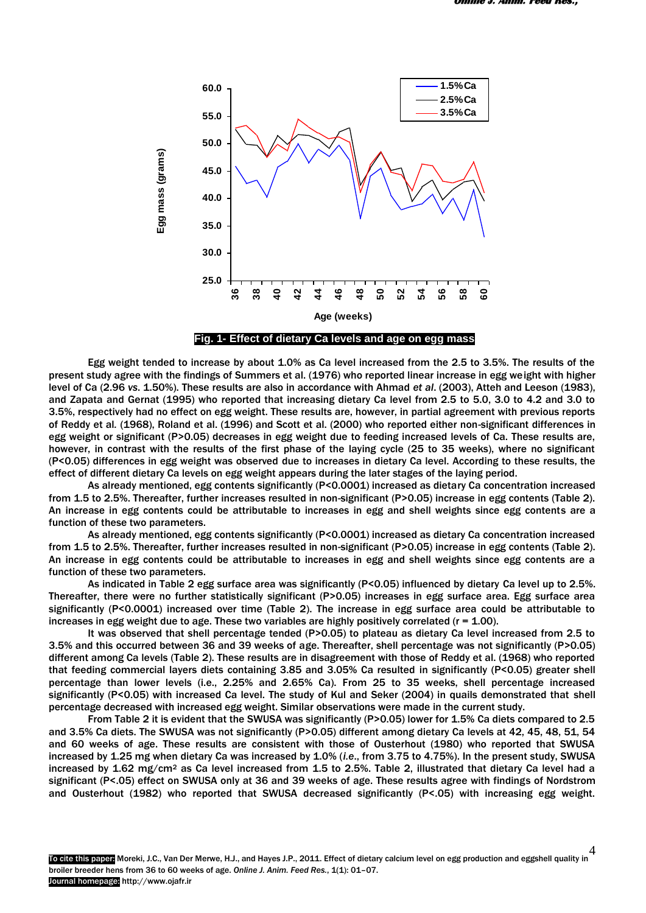

 Egg weight tended to increase by about 1.0% as Ca level increased from the 2.5 to 3.5%. The results of the present study agree with the findings of Summers et al. (1976) who reported linear increase in egg weight with higher level of Ca (2.96 *vs*. 1.50%). These results are also in accordance with Ahmad *et al*. (2003), Atteh and Leeson (1983), and Zapata and Gernat (1995) who reported that increasing dietary Ca level from 2.5 to 5.0, 3.0 to 4.2 and 3.0 to 3.5%, respectively had no effect on egg weight. These results are, however, in partial agreement with previous reports of Reddy et al*.* (1968), Roland et al. (1996) and Scott et al. (2000) who reported either non-significant differences in egg weight or significant (P>0.05) decreases in egg weight due to feeding increased levels of Ca. These results are, however, in contrast with the results of the first phase of the laying cycle (25 to 35 weeks), where no significant (P<0.05) differences in egg weight was observed due to increases in dietary Ca level. According to these results, the effect of different dietary Ca levels on egg weight appears during the later stages of the laying period.

 As already mentioned, egg contents significantly (P<0.0001) increased as dietary Ca concentration increased from 1.5 to 2.5%. Thereafter, further increases resulted in non-significant (P>0.05) increase in egg contents (Table 2). An increase in egg contents could be attributable to increases in egg and shell weights since egg contents are a function of these two parameters.

 As already mentioned, egg contents significantly (P<0.0001) increased as dietary Ca concentration increased from 1.5 to 2.5%. Thereafter, further increases resulted in non-significant (P>0.05) increase in egg contents (Table 2). An increase in egg contents could be attributable to increases in egg and shell weights since egg contents are a function of these two parameters.

As indicated in Table 2 egg surface area was significantly (P<0.05) influenced by dietary Ca level up to 2.5%. Thereafter, there were no further statistically significant (P>0.05) increases in egg surface area. Egg surface area significantly (P<0.0001) increased over time (Table 2). The increase in egg surface area could be attributable to increases in egg weight due to age. These two variables are highly positively correlated  $(r = 1.00)$ .

It was observed that shell percentage tended (P>0.05) to plateau as dietary Ca level increased from 2.5 to 3.5% and this occurred between 36 and 39 weeks of age. Thereafter, shell percentage was not significantly (P>0.05) different among Ca levels (Table 2). These results are in disagreement with those of Reddy et al. (1968) who reported that feeding commercial layers diets containing 3.85 and 3.05% Ca resulted in significantly (P<0.05) greater shell percentage than lower levels (i.e., 2.25% and 2.65% Ca). From 25 to 35 weeks, shell percentage increased significantly (P<0.05) with increased Ca level. The study of Kul and Seker (2004) in quails demonstrated that shell percentage decreased with increased egg weight. Similar observations were made in the current study.

From Table 2 it is evident that the SWUSA was significantly (P>0.05) lower for 1.5% Ca diets compared to 2.5 and 3.5% Ca diets. The SWUSA was not significantly (P>0.05) different among dietary Ca levels at 42, 45, 48, 51, 54 and 60 weeks of age. These results are consistent with those of Ousterhout (1980) who reported that SWUSA increased by 1.25 mg when dietary Ca was increased by 1.0% (*i.e*., from 3.75 to 4.75%). In the present study, SWUSA increased by 1.62 mg/cm<sup>2</sup> as Ca level increased from 1.5 to 2.5%. Table 2, illustrated that dietary Ca level had a significant (P<.05) effect on SWUSA only at 36 and 39 weeks of age. These results agree with findings of Nordstrom and Ousterhout (1982) who reported that SWUSA decreased significantly (P<.05) with increasing egg weight.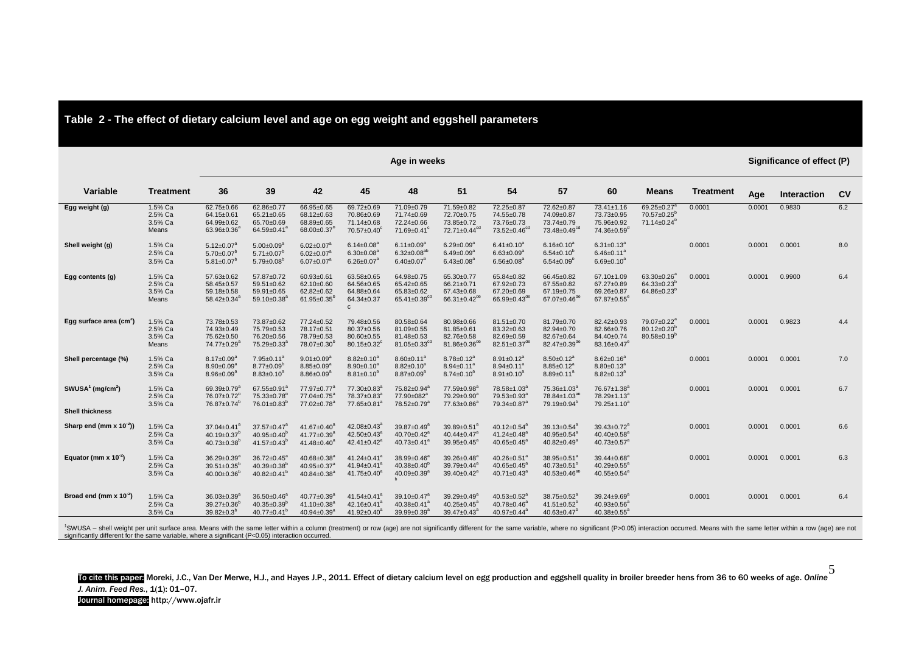|                                          |                                        | Age in weeks                                                                                    |                                                                                                 |                                                                                                 |                                                                                      |                                                                                           |                                                                               |                                                                                            |                                                                                      |                                                                                           | Significance of effect (P)                                                  |                  |        |             |                |
|------------------------------------------|----------------------------------------|-------------------------------------------------------------------------------------------------|-------------------------------------------------------------------------------------------------|-------------------------------------------------------------------------------------------------|--------------------------------------------------------------------------------------|-------------------------------------------------------------------------------------------|-------------------------------------------------------------------------------|--------------------------------------------------------------------------------------------|--------------------------------------------------------------------------------------|-------------------------------------------------------------------------------------------|-----------------------------------------------------------------------------|------------------|--------|-------------|----------------|
| <b>Variable</b>                          | <b>Treatment</b>                       | 36                                                                                              | 39                                                                                              | 42                                                                                              | 45                                                                                   | 48                                                                                        | 51                                                                            | 54                                                                                         | 57                                                                                   | 60                                                                                        | <b>Means</b>                                                                | <b>Treatment</b> | Age    | Interaction | c <sub>v</sub> |
| Egg weight (g)                           | 1.5% Ca<br>2.5% Ca<br>3.5% Ca<br>Means | 62.75±0.66<br>64.15±0.61<br>64.99±0.62<br>$63.96 \pm 0.36$ <sup>*</sup>                         | 62.86±0.77<br>65.21±0.65<br>65.70±0.69<br>$64.59 \pm 0.41$                                      | 66.95±0.65<br>68.12±0.63<br>68.89±0.65<br>$68.00 \pm 0.37$ <sup>p</sup>                         | 69.72±0.69<br>70.86±0.69<br>71.14±0.68<br>$70.57 \pm 0.40^{\circ}$                   | 71.09±0.79<br>71.74±0.69<br>72.24±0.66<br>$71.69 \pm 0.41$ <sup>c</sup>                   | 71.59±0.82<br>72.70±0.75<br>73.85±0.72<br>72.71±0.44 <sup>cd</sup>            | 72.25±0.87<br>74.55±0.78<br>73.76±0.73<br>73.52±0.46 <sup>cc</sup>                         | 72.62±0.87<br>74.09±0.87<br>73.74±0.79<br>$73.48 \pm 0.49$ <sup>cd</sup>             | 73.41±1.16<br>73.73±0.95<br>75.96±0.92<br>74.36±0.59 <sup>d</sup>                         | $69.25 \pm 0.27$<br>$70.57 \pm 0.25^b$<br>$71.14 \pm 0.24^{\circ}$          | 0.0001           | 0.0001 | 0.9830      | 6.2            |
| Shell weight (g)                         | 1.5% Ca<br>2.5% Ca<br>3.5% Ca          | $5.12 \pm 0.07^a$<br>$5.70 \pm 0.07^b$<br>$5.81 \pm 0.07$ <sup>t</sup>                          | $5.00 \pm 0.09^{\circ}$<br>$5.71 \pm 0.07^b$<br>$5.79 \pm 0.08^b$                               | $6.02 \pm 0.07^a$<br>$6.02 \pm 0.07$ <sup>a</sup><br>$6.07 \pm 0.07^{\circ}$                    | $6.14 \pm 0.08^{\circ}$<br>$6.30 \pm 0.08$ <sup>a</sup><br>$6.26 \pm 0.07^a$         | $6.11 \pm 0.09^a$<br>$6.32 \pm 0.08$ <sup>at</sup><br>$6.40 \pm 0.07^b$                   | $6.29 \pm 0.09^a$<br>$6.49 \pm 0.09^{\circ}$<br>$6.43 \pm 0.08^a$             | $6.41 \pm 0.10^a$<br>$6.63 \pm 0.09^6$<br>$6.56 \pm 0.08^6$                                | $6.16 \pm 0.10^a$<br>$6.54 \pm 0.10^6$<br>$6.54 \pm 0.09^b$                          | $6.31 \pm 0.13^a$<br>$6.46 \pm 0.11^6$<br>$6.69 \pm 0.10^a$                               |                                                                             | 0.0001           | 0.0001 | 0.0001      | 8.0            |
| Egg contents (g)                         | 1.5% Ca<br>2.5% Ca<br>3.5% Ca<br>Means | 57.63±0.62<br>58.45±0.57<br>59.18±0.58<br>$58.42 \pm 0.34^{\circ}$                              | 57.87±0.72<br>59.51±0.62<br>59.91±0.65<br>59.10±0.38 <sup>a</sup>                               | 60.93±0.61<br>62.10±0.60<br>62.82±0.62<br>$61.95 \pm 0.35^{\circ}$                              | 63.58±0.65<br>64.56±0.65<br>64.88±0.64<br>64.34±0.37<br>$\mathbf c$                  | 64.98±0.75<br>65.42±0.65<br>65.83±0.62<br>$65.41 \pm 0.39$ <sup>cd</sup>                  | 65.30±0.77<br>66.21±0.71<br>67.43±0.68<br>$66.31 \pm 0.42$ <sup>de</sup>      | 65.84±0.82<br>67.92±0.73<br>67.20±0.69<br>66.99 $\pm$ 0.43 <sup>dt</sup>                   | 66.45±0.82<br>67.55±0.82<br>67.19±0.75<br>$67.07 \pm 0.46^{\circ}$                   | 67.10±1.09<br>67.27±0.89<br>69.26±0.87<br>$67.87 \pm 0.55$ <sup>e</sup>                   | $63.30 \pm 0.26^a$<br>$64.33 \pm 0.23$ <sup>b</sup><br>$64.86 \pm 0.23^{b}$ | 0.0001           | 0.0001 | 0.9900      | 6.4            |
| Egg surface area (cm <sup>2</sup> )      | 1.5% Ca<br>2.5% Ca<br>3.5% Ca<br>Means | 73.78±0.53<br>74.93±0.49<br>75.62±0.50<br>74.77±0.29 <sup>a</sup>                               | 73.87±0.62<br>75.79±0.53<br>76.20±0.56<br>75.29±0.33 <sup>a</sup>                               | 77.24±0.52<br>78.17±0.51<br>78.79±0.53<br>$78.07 \pm 0.30^b$                                    | 79.48±0.56<br>80.37±0.56<br>80.60±0.55<br>80.15±0.32 $^{\circ}$                      | 80.58±0.64<br>81.09±0.55<br>81.48±0.53<br>81.05±0.33 <sup>cd</sup>                        | 80.98±0.66<br>81.85±0.61<br>82.76±0.58<br>81.86±0.36 <sup>de</sup>            | 81.51±0.70<br>83.32±0.63<br>82.69±0.59<br>$82.51 \pm 0.37$ <sup>di</sup>                   | 81.79±0.70<br>82.94±0.70<br>82.67±0.64<br>$82.47 \pm 0.39$ <sup>de</sup>             | 82.42±0.93<br>82.66±0.76<br>84.40±0.74<br>83.16±0.47 <sup>e</sup>                         | $79.07 \pm 0.22^a$<br>$80.12 \pm 0.20^{\circ}$<br>$80.58 \pm 0.19^{\circ}$  | 0.0001           | 0.0001 | 0.9823      | 4.4            |
| Shell percentage (%)                     | 1.5% Ca<br>2.5% Ca<br>3.5% Ca          | $8.17 \pm 0.09^{\circ}$<br>$8.90 \pm 0.09^{\circ}$<br>$8.96 \pm 0.09^6$                         | $7.95 \pm 0.11^a$<br>$8.77 \pm 0.09^b$<br>$8.83 \pm 0.10^8$                                     | $9.01 \pm 0.09^{\circ}$<br>$8.85 \pm 0.09^8$<br>$8.86 \pm 0.09^{\circ}$                         | $8.82 \pm 0.10^a$<br>$8.90 \pm 0.10^a$<br>$8.81 \pm 0.10^a$                          | $8.60 \pm 0.11^a$<br>$8.82 \pm 0.10^a$<br>$8.87 \pm 0.09^a$                               | $8.78 \pm 0.12^a$<br>$8.94 \pm 0.11^{\circ}$<br>$8.74 \pm 0.10^8$             | $8.91 \pm 0.12^a$<br>$8.94 \pm 0.11^a$<br>$8.91 \pm 0.10^6$                                | $8.50 \pm 0.12^a$<br>$8.85 \pm 0.12^a$<br>$8.89 \pm 0.11^{\circ}$                    | $8.62 \pm 0.16^a$<br>$8.80 \pm 0.13$ <sup>a</sup><br>$8.82 \pm 0.13^6$                    |                                                                             | 0.0001           | 0.0001 | 0.0001      | 7.0            |
| SWUSA <sup>1</sup> (mg/cm <sup>2</sup> ) | 1.5% Ca<br>2.5% Ca<br>3.5% Ca          | 69.39±0.79 <sup>6</sup><br>76.07±0.72 <sup>b</sup><br>76.87±0.74 <sup>b</sup>                   | 67.55±0.91 $^{6}$<br>75.33±0.78 <sup>b</sup><br>$76.01 \pm 0.83^b$                              | $77.97 \pm 0.77^a$<br>$77.04 \pm 0.75^{\circ}$<br>77.02±0.78 <sup>a</sup>                       | 77.30±0.83 <sup>a</sup><br>78.37±0.83 <sup>a</sup><br>77.65±0.81 <sup>a</sup>        | 75.82±0.94 <sup>a</sup><br>77.90±082 <sup>a</sup><br>78.52±0.79 <sup>a</sup>              | 77.59±0.98 <sup>a</sup><br>79.29±0.90 <sup>a</sup><br>77.63±0.86 <sup>a</sup> | 78.58±1.03 <sup>a</sup><br>79.53±0.93 <sup>a</sup><br>$79.34 \pm 0.87$ <sup>a</sup>        | 75.36±1.03 <sup>6</sup><br>78.84±1.03 <sup>ab</sup><br>$79.19 \pm 0.94^b$            | 76.67±1.38 <sup>a</sup><br>78.29±1.13 <sup>a</sup><br>79.25±1.10 <sup>a</sup>             |                                                                             | 0.0001           | 0.0001 | 0.0001      | 6.7            |
| <b>Shell thickness</b>                   |                                        |                                                                                                 |                                                                                                 |                                                                                                 |                                                                                      |                                                                                           |                                                                               |                                                                                            |                                                                                      |                                                                                           |                                                                             |                  |        |             |                |
| Sharp end (mm x $10^{-2}$ ))             | 1.5% Ca<br>2.5% Ca<br>3.5% Ca          | $37.04 \pm 0.41$ <sup>a</sup><br>40.19 $\pm$ 0.37 <sup>b</sup><br>$40.73 \pm 0.38$ <sup>b</sup> | $37.57 \pm 0.47$ <sup>a</sup><br>40.95 $\pm$ 0.40 <sup>b</sup><br>41.57 $\pm$ 0.43 <sup>b</sup> | 41.67 $\pm$ 0.40 <sup>a</sup><br>41.77±0.39 <sup>a</sup><br>41.48 $\pm$ 0.40 <sup>a</sup>       | $42.08 \pm 0.43^a$<br>$42.50 \pm 0.43^a$<br>$42.41 \pm 0.42$ <sup>a</sup>            | 39.87±0.49 <sup>a</sup><br>$40.70 \pm 0.42$ <sup>a</sup><br>40.73 $\pm$ 0.41 <sup>a</sup> | $39.89 \pm 0.51^a$<br>$40.44 \pm 0.47$ <sup>a</sup><br>$39.95 \pm 0.45^a$     | $40.12 \pm 0.54$ <sup>a</sup><br>41.24 $\pm$ 0.48 <sup>a</sup><br>$40.65 \pm 0.45^{\circ}$ | $39.13 \pm 0.54^a$<br>$40.95 \pm 0.54^a$<br>40.82 $\pm$ 0.49 $^{6}$                  | 39.43±0.72 <sup>a</sup><br>40.40 $\pm$ 0.58 <sup>a</sup><br>40.73 $\pm$ 0.57 <sup>a</sup> |                                                                             | 0.0001           | 0.0001 | 0.0001      | 6.6            |
| Equator (mm $x$ 10 <sup>-2</sup> )       | 1.5% Ca<br>2.5% Ca<br>3.5% Ca          | $36.29 \pm 0.39^{\circ}$<br>$39.51 \pm 0.35^b$<br>$40.00 \pm 0.36^b$                            | $36.72 \pm 0.45^a$<br>40.39 $\pm$ 0.38 <sup>b</sup><br>40.82 $\pm$ 0.41 <sup>b</sup>            | 40.68 $\pm$ 0.38 <sup>a</sup><br>40.95±0.37 <sup>a</sup><br>40.84 $\pm$ 0.38 <sup>a</sup>       | 41.24 $\pm$ 0.41 <sup>a</sup><br>41.94 $\pm$ 0.41 <sup>a</sup><br>$41.75 \pm 0.40^a$ | 38.99±0.46 <sup>a</sup><br>$40.38 \pm 0.40^{\circ}$<br>40.09 $\pm$ 0.39 $^{a}$            | $39.26 \pm 0.48^a$<br>$39.79 \pm 0.44^a$<br>$39.40 \pm 0.42^a$                | 40.26±0.51 <sup>ª</sup><br>$40.65 \pm 0.45^{\circ}$<br>$40.71 \pm 0.43$ <sup>a</sup>       | $38.95 \pm 0.51^a$<br>$40.73 \pm 0.51^{\circ}$<br>$40.53 \pm 0.46^{ab}$              | 39.44±0.68 <sup>a</sup><br>$40.29 \pm 0.55^{\circ}$<br>40.55 $\pm$ 0.54 $^{a}$            |                                                                             | 0.0001           | 0.0001 | 0.0001      | 6.3            |
| Broad end (mm x $10^{-2}$ )              | 1.5% Ca<br>2.5% Ca<br>3.5% Ca          | $36.03 \pm 0.39^{\circ}$<br>$39.27 \pm 0.36^b$<br>$39.82 \pm 0.3^{b}$                           | $36.50 \pm 0.46^a$<br>40.35 $\pm$ 0.39 <sup>b</sup><br>40.77 $\pm$ 0.41 <sup>b</sup>            | $40.77 \pm 0.39$ <sup>a</sup><br>41.10 $\pm$ 0.38 <sup>a</sup><br>$40.94 \pm 0.39$ <sup>a</sup> | 41.54 $\pm$ 0.41 <sup>a</sup><br>$42.16 \pm 0.41^a$<br>41.92 $\pm$ 0.40 <sup>a</sup> | $39.10 \pm 0.47^{\circ}$<br>40.38 $\pm$ 0.41 <sup>a</sup><br>$39.99 \pm 0.39^a$           | $39.29 \pm 0.49^a$<br>40.25 $\pm$ 0.45 $^{a}$<br>$39.47 \pm 0.43^a$           | $40.53 \pm 0.52$ <sup>a</sup><br>$40.78 \pm 0.46^a$<br>$40.97 \pm 0.44^a$                  | $38.75 \pm 0.52^6$<br>$41.51 \pm 0.52$ <sup>r</sup><br>$40.63 \pm 0.47$ <sup>b</sup> | $39.24 \pm 9.69^{\circ}$<br>$40.93 \pm 0.56^{\circ}$<br>$40.38 \pm 0.55^{\circ}$          |                                                                             | 0.0001           | 0.0001 | 0.0001      | 6.4            |

**Table 2 - The effect of dietary calcium level and age on egg weight and eggshell parameters**

<sup>1</sup>SWUSA – shell weight per unit surface area. Means with the same letter within a column (treatment) or row (age) are not significantly different for the same variable, where no significant (P>0.05) interaction occurred.

To cite this paper: Moreki, J.C., Van Der Merwe, H.J., and Hayes J.P., 2011. Effect of dietary calcium level on egg production and eggshell quality in broiler breeder hens from 36 to 60 weeks of age. *Online*  5 *J. Anim. Feed Res.*, 1(1): 01–07. Journal homepage: http://www.ojafr.ir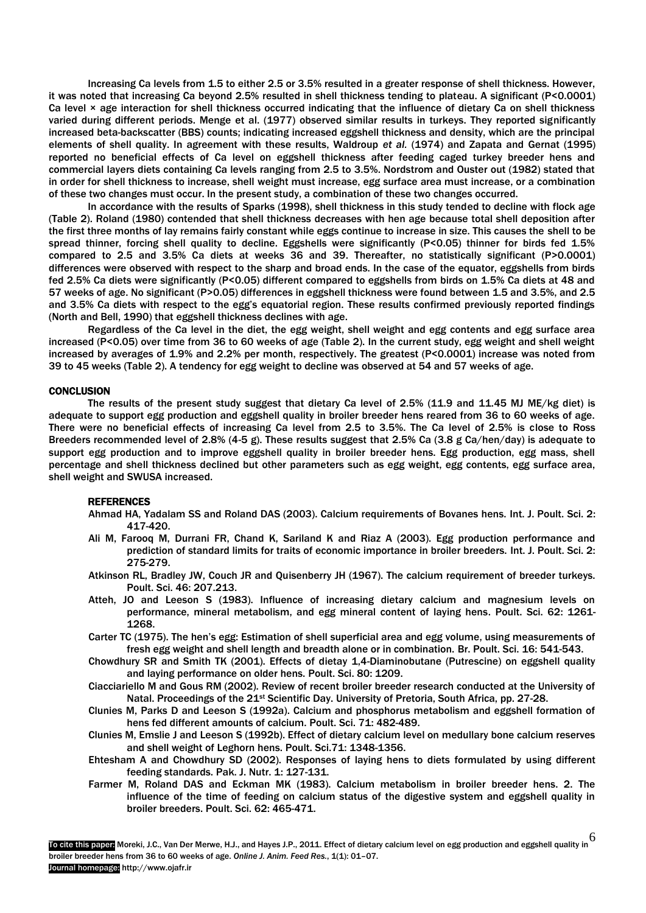Increasing Ca levels from 1.5 to either 2.5 or 3.5% resulted in a greater response of shell thickness. However, it was noted that increasing Ca beyond 2.5% resulted in shell thickness tending to plateau. A significant (P<0.0001) Ca level × age interaction for shell thickness occurred indicating that the influence of dietary Ca on shell thickness varied during different periods. Menge et al. (1977) observed similar results in turkeys. They reported significantly increased beta-backscatter (BBS) counts; indicating increased eggshell thickness and density, which are the principal elements of shell quality. In agreement with these results, Waldroup *et al.* (1974) and Zapata and Gernat (1995) reported no beneficial effects of Ca level on eggshell thickness after feeding caged turkey breeder hens and commercial layers diets containing Ca levels ranging from 2.5 to 3.5%. Nordstrom and Ouster out (1982) stated that in order for shell thickness to increase, shell weight must increase, egg surface area must increase, or a combination of these two changes must occur. In the present study, a combination of these two changes occurred.

In accordance with the results of Sparks (1998), shell thickness in this study tended to decline with flock age (Table 2). Roland (1980) contended that shell thickness decreases with hen age because total shell deposition after the first three months of lay remains fairly constant while eggs continue to increase in size. This causes the shell to be spread thinner, forcing shell quality to decline. Eggshells were significantly (P<0.05) thinner for birds fed 1.5% compared to 2.5 and 3.5% Ca diets at weeks 36 and 39. Thereafter, no statistically significant (P>0.0001) differences were observed with respect to the sharp and broad ends. In the case of the equator, eggshells from birds fed 2.5% Ca diets were significantly (P<0.05) different compared to eggshells from birds on 1.5% Ca diets at 48 and 57 weeks of age. No significant (P>0.05) differences in eggshell thickness were found between 1.5 and 3.5%, and 2.5 and 3.5% Ca diets with respect to the egg's equatorial region. These results confirmed previously reported findings (North and Bell, 1990) that eggshell thickness declines with age.

Regardless of the Ca level in the diet, the egg weight, shell weight and egg contents and egg surface area increased (P<0.05) over time from 36 to 60 weeks of age (Table 2). In the current study, egg weight and shell weight increased by averages of 1.9% and 2.2% per month, respectively. The greatest (P<0.0001) increase was noted from 39 to 45 weeks (Table 2). A tendency for egg weight to decline was observed at 54 and 57 weeks of age.

### **CONCLUSION**

 The results of the present study suggest that dietary Ca level of 2.5% (11.9 and 11.45 MJ ME/kg diet) is adequate to support egg production and eggshell quality in broiler breeder hens reared from 36 to 60 weeks of age. There were no beneficial effects of increasing Ca level from 2.5 to 3.5%. The Ca level of 2.5% is close to Ross Breeders recommended level of 2.8% (4-5 g). These results suggest that 2.5% Ca (3.8 g Ca/hen/day) is adequate to support egg production and to improve eggshell quality in broiler breeder hens. Egg production, egg mass, shell percentage and shell thickness declined but other parameters such as egg weight, egg contents, egg surface area, shell weight and SWUSA increased.

#### REFERENCES

- Ahmad HA, Yadalam SS and Roland DAS (2003). Calcium requirements of Bovanes hens. Int. J. Poult. Sci. 2: 417-420.
- Ali M, Farooq M, Durrani FR, Chand K, Sariland K and Riaz A (2003). Egg production performance and prediction of standard limits for traits of economic importance in broiler breeders. Int. J. Poult. Sci. 2: 275-279.
- Atkinson RL, Bradley JW, Couch JR and Quisenberry JH (1967). The calcium requirement of breeder turkeys. Poult. Sci. 46: 207.213.
- Atteh, JO and Leeson S (1983). Influence of increasing dietary calcium and magnesium levels on performance, mineral metabolism, and egg mineral content of laying hens. Poult. Sci. 62: 1261- 1268.
- Carter TC (1975). The hen's egg: Estimation of shell superficial area and egg volume, using measurements of fresh egg weight and shell length and breadth alone or in combination. Br. Poult. Sci. 16: 541-543.
- Chowdhury SR and Smith TK (2001). Effects of dietay 1,4-Diaminobutane (Putrescine) on eggshell quality and laying performance on older hens. Poult. Sci. 80: 1209.
- Ciacciariello M and Gous RM (2002). Review of recent broiler breeder research conducted at the University of Natal. Proceedings of the 21<sup>st</sup> Scientific Day. University of Pretoria, South Africa, pp. 27-28.
- Clunies M, Parks D and Leeson S (1992a). Calcium and phosphorus metabolism and eggshell formation of hens fed different amounts of calcium. Poult. Sci. 71: 482-489.
- Clunies M, Emslie J and Leeson S (1992b). Effect of dietary calcium level on medullary bone calcium reserves and shell weight of Leghorn hens. Poult. Sci.71: 1348-1356.
- Ehtesham A and Chowdhury SD (2002). Responses of laying hens to diets formulated by using different feeding standards. Pak. J. Nutr. 1: 127-131.
- Farmer M, Roland DAS and Eckman MK (1983). Calcium metabolism in broiler breeder hens. 2. The influence of the time of feeding on calcium status of the digestive system and eggshell quality in broiler breeders. Poult. Sci. 62: 465-471.